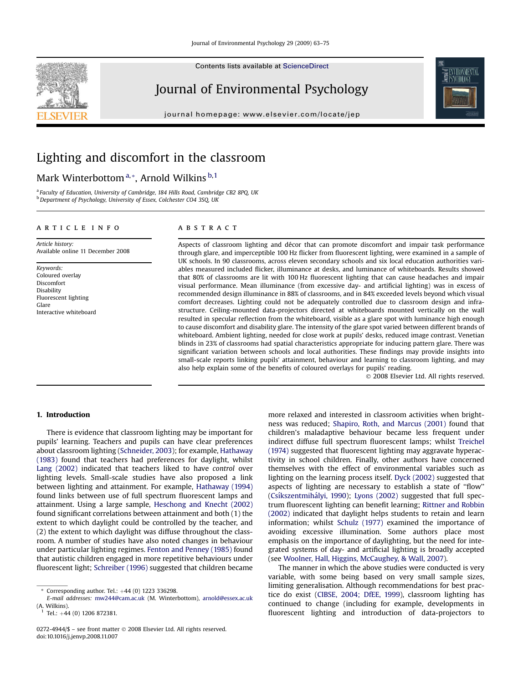Contents lists available at [ScienceDirect](www.sciencedirect.com/science/journal/02724944)

### Journal of Environmental Psychology

journal homepage: [www.elsevier.com/locate/jep](http://www.elsevier.com/locate/jep)

## Lighting and discomfort in the classroom

### Mark Winterbottom<sup>a,\*</sup>, Arnold Wilkins<sup>b,1</sup>

<sup>a</sup> Faculty of Education, University of Cambridge, 184 Hills Road, Cambridge CB2 8PQ, UK <sup>b</sup> Department of Psychology, University of Essex, Colchester CO4 3SQ, UK

#### article info

Article history: Available online 11 December 2008

Keywords: Coloured overlay Discomfort Disability Fluorescent lighting Glare Interactive whiteboard

### ABSTRACT

Aspects of classroom lighting and décor that can promote discomfort and impair task performance through glare, and imperceptible 100 Hz flicker from fluorescent lighting, were examined in a sample of UK schools. In 90 classrooms, across eleven secondary schools and six local education authorities variables measured included flicker, illuminance at desks, and luminance of whiteboards. Results showed that 80% of classrooms are lit with 100 Hz fluorescent lighting that can cause headaches and impair visual performance. Mean illuminance (from excessive day- and artificial lighting) was in excess of recommended design illuminance in 88% of classrooms, and in 84% exceeded levels beyond which visual comfort decreases. Lighting could not be adequately controlled due to classroom design and infrastructure. Ceiling-mounted data-projectors directed at whiteboards mounted vertically on the wall resulted in specular reflection from the whiteboard, visible as a glare spot with luminance high enough to cause discomfort and disability glare. The intensity of the glare spot varied between different brands of whiteboard. Ambient lighting, needed for close work at pupils' desks, reduced image contrast. Venetian blinds in 23% of classrooms had spatial characteristics appropriate for inducing pattern glare. There was significant variation between schools and local authorities. These findings may provide insights into small-scale reports linking pupils' attainment, behaviour and learning to classroom lighting, and may also help explain some of the benefits of coloured overlays for pupils' reading.

- 2008 Elsevier Ltd. All rights reserved.

#### 1. Introduction

There is evidence that classroom lighting may be important for pupils' learning. Teachers and pupils can have clear preferences about classroom lighting ([Schneider, 2003\)](#page--1-0); for example, [Hathaway](#page--1-0) [\(1983\)](#page--1-0) found that teachers had preferences for daylight, whilst [Lang \(2002\)](#page--1-0) indicated that teachers liked to have control over lighting levels. Small-scale studies have also proposed a link between lighting and attainment. For example, [Hathaway \(1994\)](#page--1-0) found links between use of full spectrum fluorescent lamps and attainment. Using a large sample, [Heschong and Knecht \(2002\)](#page--1-0) found significant correlations between attainment and both (1) the extent to which daylight could be controlled by the teacher, and (2) the extent to which daylight was diffuse throughout the classroom. A number of studies have also noted changes in behaviour under particular lighting regimes. [Fenton and Penney \(1985\)](#page--1-0) found that autistic children engaged in more repetitive behaviours under fluorescent light; [Schreiber \(1996\)](#page--1-0) suggested that children became more relaxed and interested in classroom activities when brightness was reduced; [Shapiro, Roth, and Marcus \(2001\)](#page--1-0) found that children's maladaptive behaviour became less frequent under indirect diffuse full spectrum fluorescent lamps; whilst [Treichel](#page--1-0) [\(1974\)](#page--1-0) suggested that fluorescent lighting may aggravate hyperactivity in school children. Finally, other authors have concerned themselves with the effect of environmental variables such as lighting on the learning process itself. [Dyck \(2002\)](#page--1-0) suggested that aspects of lighting are necessary to establish a state of ''flow'' (Csíkszentmihályi, 1990); [Lyons \(2002\)](#page--1-0) suggested that full spectrum fluorescent lighting can benefit learning; [Rittner and Robbin](#page--1-0) [\(2002\)](#page--1-0) indicated that daylight helps students to retain and learn information; whilst [Schulz \(1977\)](#page--1-0) examined the importance of avoiding excessive illumination. Some authors place most emphasis on the importance of daylighting, but the need for integrated systems of day- and artificial lighting is broadly accepted (see [Woolner, Hall, Higgins, McCaughey, & Wall, 2007](#page--1-0)).

The manner in which the above studies were conducted is very variable, with some being based on very small sample sizes, limiting generalisation. Although recommendations for best practice do exist ([CIBSE, 2004; DfEE, 1999\)](#page--1-0), classroom lighting has continued to change (including for example, developments in fluorescent lighting and introduction of data-projectors to

Corresponding author. Tel.:  $+44$  (0) 1223 336298.

E-mail addresses: [mw244@cam.ac.uk](mailto:mw244@cam.ac.uk) (M. Winterbottom), [arnold@essex.ac.uk](mailto:arnold@essex.ac.uk)  $(A. \text{Wilkins})$ .

Tel.: +44 (0) 1206 872381.

<sup>0272-4944/\$ –</sup> see front matter © 2008 Elsevier Ltd. All rights reserved. doi:10.1016/j.jenvp.2008.11.007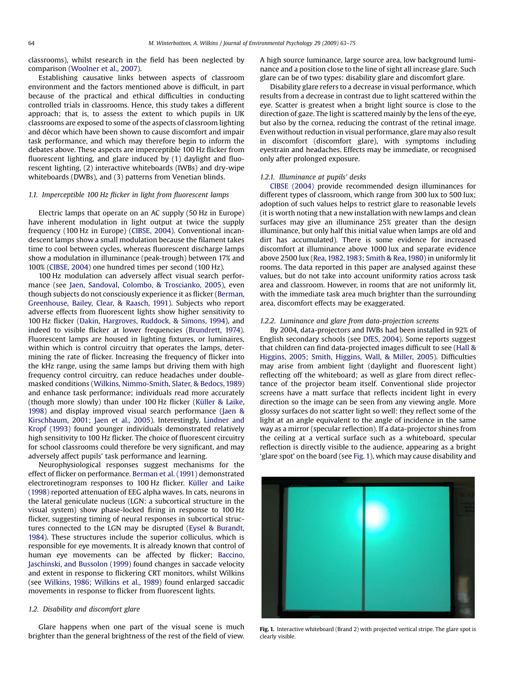classrooms), whilst research in the field has been neglected by comparison ([Woolner et al., 2007\)](#page--1-0).

Establishing causative links between aspects of classroom environment and the factors mentioned above is difficult, in part because of the practical and ethical difficulties in conducting controlled trials in classrooms. Hence, this study takes a different approach; that is, to assess the extent to which pupils in UK classrooms are exposed to some of the aspects of classroom lighting and décor which have been shown to cause discomfort and impair task performance, and which may therefore begin to inform the debates above. These aspects are imperceptible 100 Hz flicker from fluorescent lighting, and glare induced by (1) daylight and fluorescent lighting, (2) interactive whiteboards (IWBs) and dry-wipe whiteboards (DWBs), and (3) patterns from Venetian blinds.

#### 1.1. Imperceptible 100 Hz flicker in light from fluorescent lamps

Electric lamps that operate on an AC supply (50 Hz in Europe) have inherent modulation in light output at twice the supply frequency (100 Hz in Europe) ([CIBSE, 2004\)](#page--1-0). Conventional incandescent lamps show a small modulation because the filament takes time to cool between cycles, whereas fluorescent discharge lamps show a modulation in illuminance (peak-trough) between 17% and 100% [\(CIBSE, 2004](#page--1-0)) one hundred times per second (100 Hz).

100 Hz modulation can adversely affect visual search performance (see [Jaen, Sandoval, Colombo, & Troscianko, 2005](#page--1-0)), even though subjects do not consciously experience it as flicker ([Berman,](#page--1-0) [Greenhouse, Bailey, Clear, & Raasch, 1991\)](#page--1-0). Subjects who report adverse effects from fluorescent lights show higher sensitivity to 100 Hz flicker [\(Dakin, Hargroves, Ruddock, & Simons, 1994](#page--1-0)), and indeed to visible flicker at lower frequencies [\(Brundrett, 1974](#page--1-0)). Fluorescent lamps are housed in lighting fixtures, or luminaires, within which is control circuitry that operates the lamps, determining the rate of flicker. Increasing the frequency of flicker into the kHz range, using the same lamps but driving them with high frequency control circuitry, can reduce headaches under doublemasked conditions ([Wilkins, Nimmo-Smith, Slater, & Bedocs, 1989\)](#page--1-0) and enhance task performance; individuals read more accurately (though more slowly) than under 100 Hz flicker (Küller & Laike, [1998](#page--1-0)) and display improved visual search performance [\(Jaen &](#page--1-0) [Kirschbaum, 2001; Jaen et al., 2005\)](#page--1-0). Interestingly, [Lindner and](#page--1-0) [Kropf \(1993\)](#page--1-0) found younger individuals demonstrated relatively high sensitivity to 100 Hz flicker. The choice of fluorescent circuitry for school classrooms could therefore be very significant, and may adversely affect pupils' task performance and learning.

Neurophysiological responses suggest mechanisms for the effect of flicker on performance. [Berman et al. \(1991\)](#page--1-0) demonstrated electroretinogram responses to 100 Hz flicker. Küller and Laike [\(1998\)](#page--1-0) reported attenuation of EEG alpha waves. In cats, neurons in the lateral geniculate nucleus (LGN: a subcortical structure in the visual system) show phase-locked firing in response to 100 Hz flicker, suggesting timing of neural responses in subcortical structures connected to the LGN may be disrupted ([Eysel & Burandt,](#page--1-0) [1984](#page--1-0)). These structures include the superior colliculus, which is responsible for eye movements. It is already known that control of human eye movements can be affected by flicker; [Baccino,](#page--1-0) [Jaschinski, and Bussolon \(1999\)](#page--1-0) found changes in saccade velocity and extent in response to flickering CRT monitors, whilst Wilkins (see [Wilkins, 1986; Wilkins et al., 1989\)](#page--1-0) found enlarged saccadic movements in response to flicker from fluorescent lights.

#### 1.2. Disability and discomfort glare

Glare happens when one part of the visual scene is much brighter than the general brightness of the rest of the field of view. A high source luminance, large source area, low background luminance and a position close to the line of sight all increase glare. Such glare can be of two types: disability glare and discomfort glare.

Disability glare refers to a decrease in visual performance, which results from a decrease in contrast due to light scattered within the eye. Scatter is greatest when a bright light source is close to the direction of gaze. The light is scattered mainly by the lens of the eye, but also by the cornea, reducing the contrast of the retinal image. Even without reduction in visual performance, glare may also result in discomfort (discomfort glare), with symptoms including eyestrain and headaches. Effects may be immediate, or recognised only after prolonged exposure.

#### 1.2.1. Illuminance at pupils' desks

[CIBSE \(2004\)](#page--1-0) provide recommended design illuminances for different types of classroom, which range from 300 lux to 500 lux; adoption of such values helps to restrict glare to reasonable levels (it is worth noting that a new installation with new lamps and clean surfaces may give an illuminance 25% greater than the design illuminance, but only half this initial value when lamps are old and dirt has accumulated). There is some evidence for increased discomfort at illuminance above 1000 lux and separate evidence above 2500 lux ([Rea, 1982, 1983; Smith & Rea, 1980\)](#page--1-0) in uniformly lit rooms. The data reported in this paper are analysed against these values, but do not take into account uniformity ratios across task area and classroom. However, in rooms that are not uniformly lit, with the immediate task area much brighter than the surrounding area, discomfort effects may be exaggerated.

#### 1.2.2. Luminance and glare from data-projection screens

By 2004, data-projectors and IWBs had been installed in 92% of English secondary schools (see [DfES, 2004](#page--1-0)). Some reports suggest that children can find data-projected images difficult to see ([Hall &](#page--1-0) [Higgins, 2005; Smith, Higgins, Wall, & Miller, 2005\)](#page--1-0). Difficulties may arise from ambient light (daylight and fluorescent light) reflecting off the whiteboard; as well as glare from direct reflectance of the projector beam itself. Conventional slide projector screens have a matt surface that reflects incident light in every direction so the image can be seen from any viewing angle. More glossy surfaces do not scatter light so well: they reflect some of the light at an angle equivalent to the angle of incidence in the same way as a mirror (specular reflection). If a data-projector shines from the ceiling at a vertical surface such as a whiteboard, specular reflection is directly visible to the audience, appearing as a bright 'glare spot' on the board (see Fig. 1), which may cause disability and



Fig. 1. Interactive whiteboard (Brand 2) with projected vertical stripe. The glare spot is clearly visible.